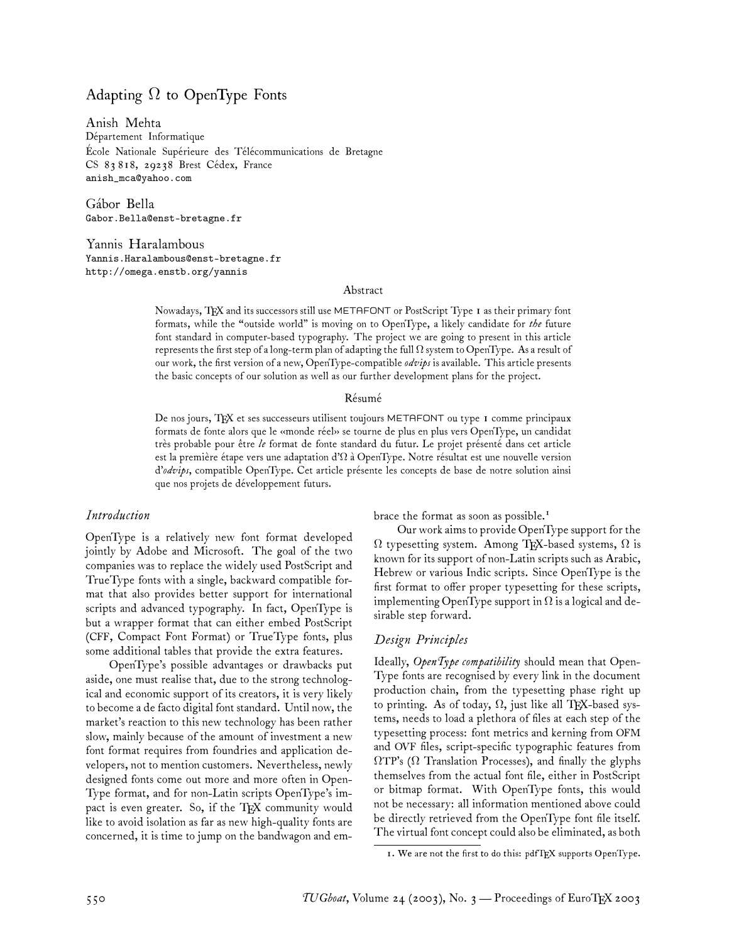# Adapting  $\Omega$  to OpenType Fonts

Anish Mehta Département Informatique École Nationale Supérieure des Télécommunications de Bretagne CS 83 818, 29238 Brest Cédex, France anish\_mca@yahoo.com

Gábor Bella Gabor.Bella@enst-bretagne.fr

Yannis Haralambous Yannis.Haralambous@enst-bretagne.fr http://omega.enstb.org/yannis

#### Abstract

Nowadays, TEX and its successors still use METAFONT or PostScript Type 1 as their primary font formats, while the "outside world" is moving on to OpenType, a likely candidate for *the* future font standard in computer-based typography. The project we are going to present in this article represents the first step of a long-term plan of adapting the full  $\Omega$  system to OpenType. As a result of our work, the first version of a new, OpenType-compatible *odvips* is available. This article presents the basic concepts of our solution as well as our further development plans for the project.

#### Résumé

De nos jours, TEX et ses successeurs utilisent toujours METAFONT ou type 1 comme principaux formats de fonte alors que le «monde réel» se tourne de plus en plus vers OpenType, un candidat très probable pour être *le* format de fonte standard du futur. Le projet présenté dans cet article est la première étape vers une adaptation d' $\Omega$  à OpenType. Notre résultat est une nouvelle version d'*odvips*, compatible OpenType. Cet article présente les concepts de base de notre solution ainsi que nos projets de développement futurs.

### *Introduction*

OpenType is a relatively new font format developed jointly by Adobe and Microsoft. The goal of the two companies was to replace the widely used PostScript and TrueType fonts with a single, backward compatible format that also provides better support for international scripts and advanced typography. In fact, OpenType is but a wrapper format that can either embed PostScript (CFF, Compact Font Format) or TrueType fonts, plus some additional tables that provide the extra features.

OpenType's possible advantages or drawbacks put aside, one must realise that, due to the strong technological and economic support of its creators, it is very likely to become a de facto digital font standard. Until now, the market's reaction to this new technology has been rather slow, mainly because of the amount of investment a new font format requires from foundries and application developers, not to mention customers. Nevertheless, newly designed fonts come out more and more often in Open-Type format, and for non-Latin scripts OpenType's impact is even greater. So, if the TFX community would like to avoid isolation as far as new high-quality fonts are concerned, it is time to jump on the bandwagon and embrace the format as soon as possible.<sup>1</sup>

Our work aims to provide OpenType support for the  $\Omega$  typesetting system. Among TEX-based systems,  $\Omega$  is known for its support of non-Latin scripts such as Arabic, Hebrew or various Indic scripts. Since OpenType is the first format to offer proper typesetting for these scripts, implementing OpenType support in  $\Omega$  is a logical and desirable step forward.

### *Design Principles*

Ideally, *OpenType compatibility* should mean that Open-Type fonts are recognised by every link in the document production chain, from the typesetting phase right up to printing. As of today,  $\Omega$ , just like all TEX-based systems, needs to load a plethora of files at each step of the typesetting process: font metrics and kerning from OFM and OVF files, script-specific typographic features from  $\Omega \text{TP's (}\Omega$  Translation Processes), and finally the glyphs themselves from the actual font file, either in PostScript or bitmap format. With OpenType fonts, this would not be necessary: all information mentioned above could be directly retrieved from the OpenType font file itself. The virtual font concept could also be eliminated, as both

<sup>1.</sup> We are not the first to do this: pdfTEX supports OpenType.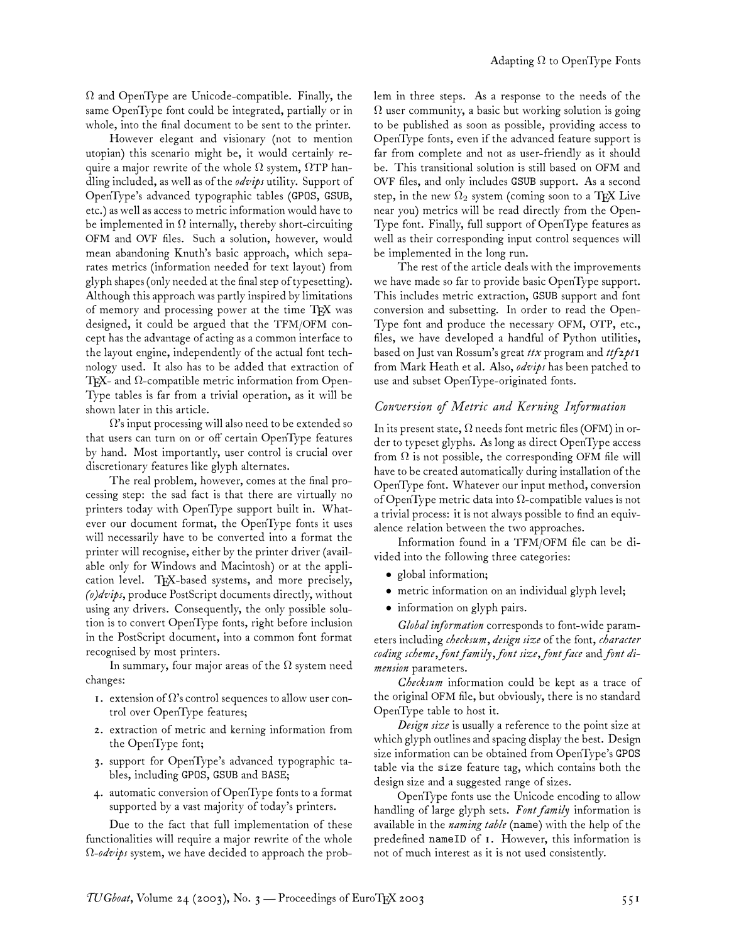$\Omega$  and OpenType are Unicode-compatible. Finally, the same OpenType font could be integrated, partially or in whole, into the final document to be sent to the printer.

However elegant and visionary (not to mention utopian) this scenario might be, it would certainly require a major rewrite of the whole  $\Omega$  system,  $\Omega$ TP handling included, as well as of the *odvips* utility. Support of OpenType's advanced typographic tables (GPOS, GSUB, etc.) as well as access to metric information would have to be implemented in  $\Omega$  internally, thereby short-circuiting OFM and OVF files. Such a solution, however, would mean abandoning Knuth's basic approach, which separates metrics (information needed for text layout) from glyph shapes (only needed at the final step of typesetting). Although this approach was partly inspired by limitations of memory and processing power at the time TFX was designed, it could be argued that the TFM/OFM concept has the advantage of acting as a common interface to the layout engine, independently of the actual font technology used. It also has to be added that extraction of TEX- and  $\Omega$ -compatible metric information from Open-Type tables is far from a trivial operation, as it will be shown later in this article.

 $\Omega$ 's input processing will also need to be extended so that users can turn on or off certain OpenType features by hand. Most importantly, user control is crucial over discretionary features like glyph alternates.

The real problem, however, comes at the final processing step: the sad fact is that there are virtually no printers today with OpenType support built in. Whatever our document format, the OpenType fonts it uses will necessarily have to be converted into a format the printer will recognise, either by the printer driver (available only for Windows and Macintosh) or at the application level. TFX-based systems, and more precisely, *(o)dvips*, produce PostScript documents directly, without using any drivers. Consequently, the only possible solution is to convert OpenType fonts, right before inclusion in the PostScript document, into a common font format recognised by most printers.

In summary, four major areas of the  $\Omega$  system need changes:

- 1. extension of  $\Omega$ 's control sequences to allow user control over OpenType features;
- 2. extraction of metric and kerning information from the OpenType font;
- 3. support for OpenType's advanced typographic tables, including GPOS, GSUB and BASE;
- 4. automatic conversion of OpenType fonts to a format supported by a vast majority of today's printers.

Due to the fact that full implementation of these functionalities will require a major rewrite of the whole Ω-*odvips* system, we have decided to approach the problem in three steps. As a response to the needs of the  $\Omega$  user community, a basic but working solution is going to be published as soon as possible, providing access to OpenType fonts, even if the advanced feature support is far from complete and not as user-friendly as it should be. This transitional solution is still based on OFM and OVF files, and only includes GSUB support. As a second step, in the new  $\Omega_2$  system (coming soon to a TEX Live near you) metrics will be read directly from the Open-Type font. Finally, full support of OpenType features as well as their corresponding input control sequences will be implemented in the long run.

The rest of the article deals with the improvements we have made so far to provide basic OpenType support. This includes metric extraction, GSUB support and font conversion and subsetting. In order to read the Open-Type font and produce the necessary OFM, OTP, etc., files, we have developed a handful of Python utilities, based on Just van Rossum's great *ttx* program and *ttf2pt1* from Mark Heath et al. Also, *odvips* has been patched to use and subset OpenType-originated fonts.

# *Conversion of Metric and Kerning Information*

In its present state,  $\Omega$  needs font metric files (OFM) in order to typeset glyphs. As long as direct OpenType access from  $\Omega$  is not possible, the corresponding OFM file will have to be created automatically during installation of the OpenType font. Whatever our input method, conversion of OpenType metric data into  $\Omega$ -compatible values is not a trivial process: it is not always possible to find an equivalence relation between the two approaches.

Information found in a TFM/OFM file can be divided into the following three categories:

- global information;
- metric information on an individual glyph level;
- information on glyph pairs.

*Global information* corresponds to font-wide parameters including *checksum, design size* of the font, *character coding scheme, font family, font size, font face* and *font dimension* parameters.

*Checksum* information could be kept as a trace of the original OFM file, but obviously, there is no standard OpenType table to host it.

*Design size* is usually a reference to the point size at which glyph outlines and spacing display the best. Design size information can be obtained from OpenType's GPOS table via the size feature tag, which contains both the design size and a suggested range of sizes.

OpenType fonts use the Unicode encoding to allow handling of large glyph sets. *Font family* information is available in the *naming table* (name) with the help of the predefined nameID of 1. However, this information is not of much interest as it is not used consistently.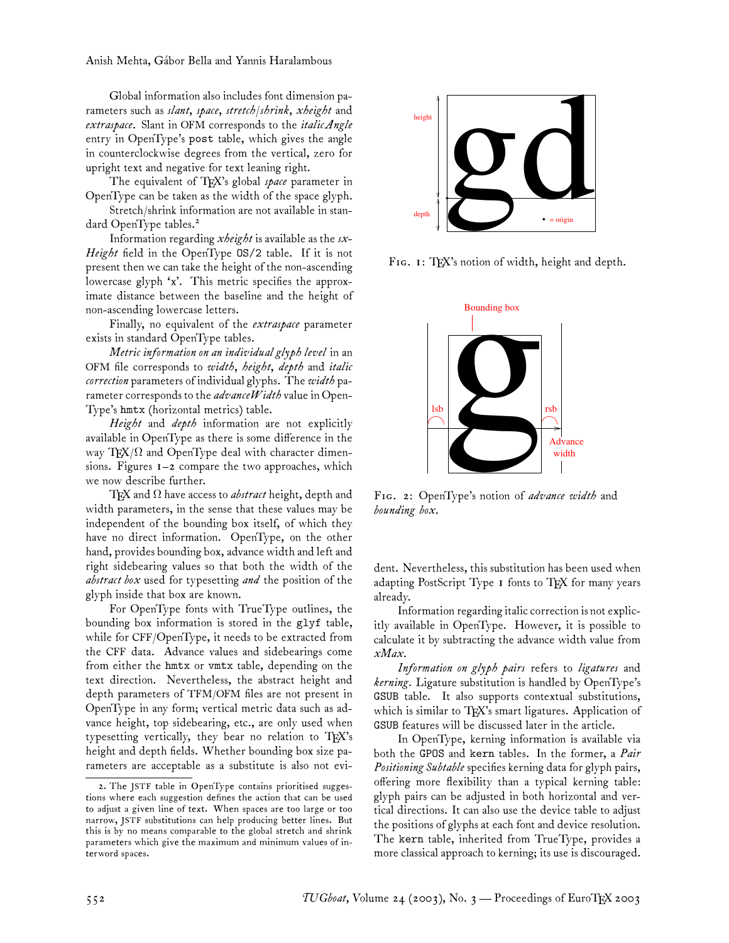Global information also includes font dimension parameters such as *slant*, *space*, *stretch/shrink*, *xheight* and *extraspace*. Slant in OFM corresponds to the *italicAngle* entry in OpenType's post table, which gives the angle in counterclockwise degrees from the vertical, zero for upright text and negative for text leaning right.

The equivalent of TEX's global *space* parameter in OpenType can be taken as the width of the space glyph.

Stretch/shrink information are not available in standard OpenType tables.<sup>2</sup>

Information regarding *xheight* is available as the *sx-Height* field in the OpenType OS/2 table. If it is not present then we can take the height of the non-ascending lowercase glyph 'x'. This metric specifies the approximate distance between the baseline and the height of non-ascending lowercase letters.

Finally, no equivalent of the *extraspace* parameter exists in standard OpenType tables.

*Metric information on an individual glyph level* in an OFM file corresponds to *width*, *height*, *depth* and *italic correction* parameters of individual glyphs. The *width* parameter corresponds to the *advanceWidth* value in Open-Type's hmtx (horizontal metrics) table.

*Height* and *depth* information are not explicitly available in OpenType as there is some difference in the way TEX/ $\Omega$  and OpenType deal with character dimensions. Figures 1–2 compare the two approaches, which we now describe further.

TEX and Ω have access to *abstract* height, depth and width parameters, in the sense that these values may be independent of the bounding box itself, of which they have no direct information. OpenType, on the other hand, provides bounding box, advance width and left and right sidebearing values so that both the width of the *abstract box* used for typesetting *and* the position of the glyph inside that box are known.

For OpenType fonts with TrueType outlines, the bounding box information is stored in the glyf table, while for CFF/OpenType, it needs to be extracted from the CFF data. Advance values and sidebearings come from either the hmtx or vmtx table, depending on the text direction. Nevertheless, the abstract height and depth parameters of TFM/OFM files are not present in OpenType in any form; vertical metric data such as advance height, top sidebearing, etc., are only used when typesetting vertically, they bear no relation to TEX's height and depth fields. Whether bounding box size parameters are acceptable as a substitute is also not evi-



FIG. 1: TEX's notion of width, height and depth.



FIG. 2: OpenType's notion of *advance width* and *bounding box*.

dent. Nevertheless, this substitution has been used when adapting PostScript Type  $\scriptstyle\rm I$  fonts to TEX for many years already.

Information regarding italic correction is not explicitly available in OpenType. However, it is possible to calculate it by subtracting the advance width value from *xMax*.

*Information on glyph pairs* refers to *ligatures* and *kerning*. Ligature substitution is handled by OpenType's GSUB table. It also supports contextual substitutions, which is similar to TEX's smart ligatures. Application of GSUB features will be discussed later in the article.

In OpenType, kerning information is available via both the GPOS and kern tables. In the former, a *Pair Positioning Subtable* specifies kerning data for glyph pairs, offering more flexibility than a typical kerning table: glyph pairs can be adjusted in both horizontal and vertical directions. It can also use the device table to adjust the positions of glyphs at each font and device resolution. The kern table, inherited from TrueType, provides a more classical approach to kerning; its use is discouraged.

<sup>2.</sup> The JSTF table in OpenType contains prioritised suggestions where each suggestion defines the action that can be used to adjust a given line of text. When spaces are too large or too narrow, JSTF substitutions can help producing better lines. But this is by no means comparable to the global stretch and shrink parameters which give the maximum and minimum values of interword spaces.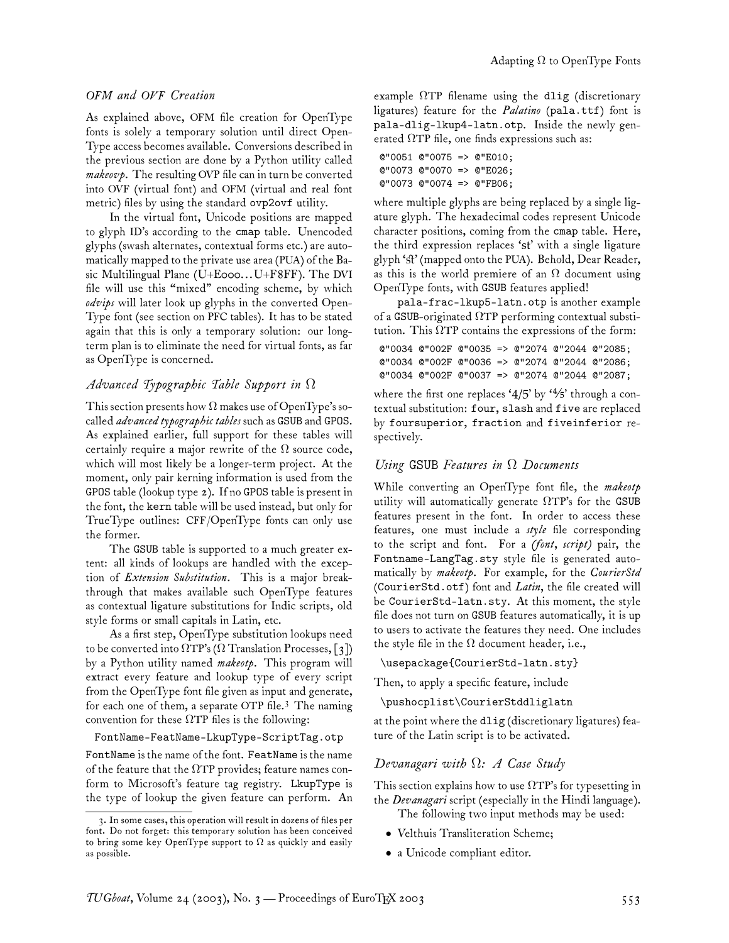### *OFM and OVF Creation*

As explained above, OFM file creation for OpenType fonts is solely a temporary solution until direct Open-Type access becomes available. Conversions described in the previous section are done by a Python utility called *makeovp*. The resulting OVP file can in turn be converted into OVF (virtual font) and OFM (virtual and real font metric) files by using the standard ovp2ovf utility.

In the virtual font, Unicode positions are mapped to glyph ID's according to the cmap table. Unencoded glyphs (swash alternates, contextual forms etc.) are automatically mapped to the private use area (PUA) of the Basic Multilingual Plane (U+E000...U+F8FF). The DVI file will use this "mixed" encoding scheme, by which *odvips* will later look up glyphs in the converted Open-Type font (see section on PFC tables). It has to be stated again that this is only a temporary solution: our longterm plan is to eliminate the need for virtual fonts, as far as OpenType is concerned.

# *Advanced Typographic Table Support in* Ω

This section presents how  $\Omega$  makes use of OpenType's socalled *advanced typographic tables* such as GSUB and GPOS. As explained earlier, full support for these tables will certainly require a major rewrite of the  $\Omega$  source code, which will most likely be a longer-term project. At the moment, only pair kerning information is used from the GPOS table (lookup type 2). If no GPOS table is present in the font, the kern table will be used instead, but only for TrueType outlines: CFF/OpenType fonts can only use the former.

The GSUB table is supported to a much greater extent: all kinds of lookups are handled with the exception of *Extension Substitution*. This is a major breakthrough that makes available such OpenType features as contextual ligature substitutions for Indic scripts, old style forms or small capitals in Latin, etc.

As a first step, OpenType substitution lookups need to be converted into  $\Omega TP$ 's ( $\Omega$  Translation Processes, [3]) by a Python utility named *makeotp*. This program will extract every feature and lookup type of every script from the OpenType font file given as input and generate, for each one of them, a separate OTP file.<sup>3</sup> The naming convention for these  $\Omega$ TP files is the following:

#### FontName-FeatName-LkupType-ScriptTag.otp

FontName is the name of the font. FeatName is the name of the feature that the  $\Omega T$ P provides; feature names conform to Microsoft's feature tag registry. LkupType is the type of lookup the given feature can perform. An example  $\Omega T$ P filename using the dlig (discretionary ligatures) feature for the *Palatino* (pala.ttf) font is pala-dlig-lkup4-latn.otp. Inside the newly generated  $\Omega$ TP file, one finds expressions such as:

|  | @"0051 @"0075 => @"E010: |
|--|--------------------------|
|  | @"0073 @"0070 => @"E026: |
|  | @"0073 @"0074 => @"FB06; |

where multiple glyphs are being replaced by a single ligature glyph. The hexadecimal codes represent Unicode character positions, coming from the cmap table. Here, the third expression replaces 'st' with a single ligature glyph 'st' (mapped onto the PUA). Behold, Dear Reader, as this is the world premiere of an  $\Omega$  document using OpenType fonts, with GSUB features applied!

pala-frac-lkup5-latn.otp is another example of a GSUB-originated  $\Omega$ TP performing contextual substitution. This  $\Omega$ TP contains the expressions of the form:

@"0034 @"002F @"0035 => @"2074 @"2044 @"2085; @"0034 @"002F @"0036 => @"2074 @"2044 @"2086; @"0034 @"002F @"0037 => @"2074 @"2044 @"2087;

where the first one replaces ' $4/5$ ' by ' $\frac{4}{5}$ ' through a contextual substitution: four, slash and five are replaced by foursuperior, fraction and fiveinferior respectively.

### *Using* GSUB *Features in* Ω *Documents*

While converting an OpenType font file, the *makeotp* utility will automatically generate  $\Omega \text{TP's}$  for the GSUB features present in the font. In order to access these features, one must include a *style* file corresponding to the script and font. For a *(font, script)* pair, the Fontname-LangTag.sty style file is generated automatically by *makeotp*. For example, for the *CourierStd* (CourierStd.otf) font and *Latin*, the file created will be CourierStd-latn.sty. At this moment, the style file does not turn on GSUB features automatically, it is up to users to activate the features they need. One includes the style file in the  $\Omega$  document header, i.e.,

\usepackage{CourierStd-latn.sty}

Then, to apply a specific feature, include

\pushocplist\CourierStddliglatn

at the point where the dlig (discretionary ligatures) feature of the Latin script is to be activated.

#### *Devanagari with* Ω*: A Case Study*

This section explains how to use  $\Omega T P$ 's for typesetting in the *Devanagari* script (especially in the Hindi language).

The following two input methods may be used:

- Velthuis Transliteration Scheme;
- a Unicode compliant editor.

<sup>3.</sup> In some cases, this operation will result in dozens of files per font. Do not forget: this temporary solution has been conceived to bring some key OpenType support to  $\Omega$  as quickly and easily as possible.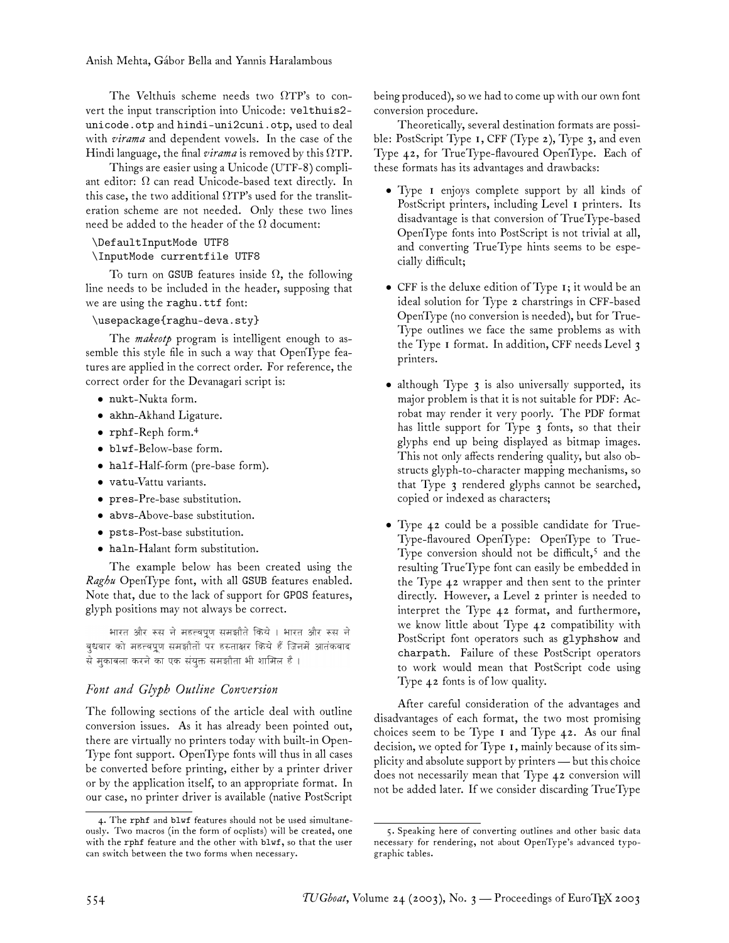The Velthuis scheme needs two ΩTP's to convert the input transcription into Unicode: velthuis2 unicode.otp and hindi-uni2cuni.otp, used to deal with *virama* and dependent vowels. In the case of the Hindi language, the final *virama* is removed by this ΩTP.

Things are easier using a Unicode (UTF-8) compliant editor:  $\Omega$  can read Unicode-based text directly. In this case, the two additional  $\Omega$ TP's used for the transliteration scheme are not needed. Only these two lines need be added to the header of the  $\Omega$  document:

#### \DefaultInputMode UTF8

# \InputMode currentfile UTF8

To turn on GSUB features inside  $\Omega$ , the following line needs to be included in the header, supposing that we are using the raghu.ttf font:

### \usepackage{raghu-deva.sty}

The *makeotp* program is intelligent enough to assemble this style file in such a way that OpenType features are applied in the correct order. For reference, the correct order for the Devanagari script is:

- nukt-Nukta form.
- akhn-Akhand Ligature.
- rphf-Reph form.<sup>4</sup>
- blwf-Below-base form.
- half-Half-form (pre-base form).
- vatu-Vattu variants.
- pres-Pre-base substitution.
- abvs-Above-base substitution.
- psts-Post-base substitution.
- haln-Halant form substitution.

The example below has been created using the *Raghu* OpenType font, with all GSUB features enabled. Note that, due to the lack of support for GPOS features, glyph positions may not always be correct.

भारत और रूस ने महत्त्वपूण समझौते किये । भारत और रूस ने बुधवार को महत्त्वपूण समझौतों पर हस्ताक्षर किये हैं जिनमें आतंकवाद से मुकाबला करने का एक संयुक्त समझौता भी शामिल है ।

# *Font and Glyph Outline Conversion*

The following sections of the article deal with outline conversion issues. As it has already been pointed out, there are virtually no printers today with built-in Open-Type font support. OpenType fonts will thus in all cases be converted before printing, either by a printer driver or by the application itself, to an appropriate format. In our case, no printer driver is available (native PostScript being produced), so we had to come up with our own font conversion procedure.

Theoretically, several destination formats are possible: PostScript Type 1, CFF (Type 2), Type 3, and even Type 42, for TrueType-flavoured OpenType. Each of these formats has its advantages and drawbacks:

- Type 1 enjoys complete support by all kinds of PostScript printers, including Level 1 printers. Its disadvantage is that conversion of TrueType-based OpenType fonts into PostScript is not trivial at all, and converting TrueType hints seems to be especially difficult;
- CFF is the deluxe edition of Type 1; it would be an ideal solution for Type 2 charstrings in CFF-based OpenType (no conversion is needed), but for True-Type outlines we face the same problems as with the Type 1 format. In addition, CFF needs Level 3 printers.
- although Type 3 is also universally supported, its major problem is that it is not suitable for PDF: Acrobat may render it very poorly. The PDF format has little support for Type 3 fonts, so that their glyphs end up being displayed as bitmap images. This not only affects rendering quality, but also obstructs glyph-to-character mapping mechanisms, so that Type 3 rendered glyphs cannot be searched, copied or indexed as characters;
- Type 42 could be a possible candidate for True-Type-flavoured OpenType: OpenType to True-Type conversion should not be difficult,<sup>5</sup> and the resulting TrueType font can easily be embedded in the Type 42 wrapper and then sent to the printer directly. However, a Level 2 printer is needed to interpret the Type 42 format, and furthermore, we know little about Type 42 compatibility with PostScript font operators such as glyphshow and charpath. Failure of these PostScript operators to work would mean that PostScript code using Type 42 fonts is of low quality.

After careful consideration of the advantages and disadvantages of each format, the two most promising choices seem to be Type 1 and Type 42. As our final decision, we opted for Type 1, mainly because of its simplicity and absolute support by printers— but this choice does not necessarily mean that Type 42 conversion will not be added later. If we consider discarding TrueType

<sup>4.</sup> The rphf and blwf features should not be used simultaneously. Two macros (in the form of ocplists) will be created, one with the rphf feature and the other with blwf, so that the user can switch between the two forms when necessary.

<sup>5.</sup> Speaking here of converting outlines and other basic data necessary for rendering, not about OpenType's advanced typographic tables.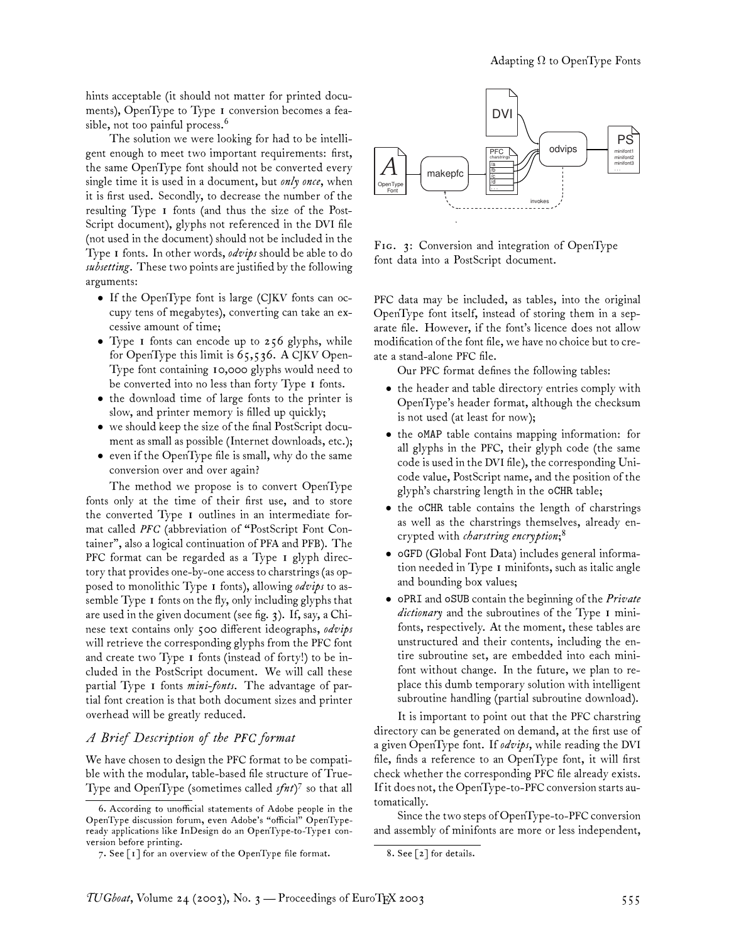hints acceptable (it should not matter for printed documents), OpenType to Type 1 conversion becomes a feasible, not too painful process.<sup>6</sup>

The solution we were looking for had to be intelligent enough to meet two important requirements: first, the same OpenType font should not be converted every single time it is used in a document, but *only once*, when it is first used. Secondly, to decrease the number of the resulting Type 1 fonts (and thus the size of the Post-Script document), glyphs not referenced in the DVI file (not used in the document) should not be included in the Type 1 fonts. In other words, *odvips* should be able to do *subsetting*. These two points are justified by the following arguments:

- If the OpenType font is large (CJKV fonts can occupy tens of megabytes), converting can take an excessive amount of time;
- Type I fonts can encode up to 256 glyphs, while for OpenType this limit is 65,536. A CJKV Open-Type font containing 10,000 glyphs would need to be converted into no less than forty Type 1 fonts.
- the download time of large fonts to the printer is slow, and printer memory is filled up quickly;
- we should keep the size of the final PostScript document as small as possible (Internet downloads, etc.);
- even if the OpenType file is small, why do the same conversion over and over again?

The method we propose is to convert OpenType fonts only at the time of their first use, and to store the converted Type 1 outlines in an intermediate format called *PFC* (abbreviation of "PostScript Font Container", also a logical continuation of PFA and PFB). The PFC format can be regarded as a Type I glyph directory that provides one-by-one access to charstrings (as opposed to monolithic Type 1 fonts), allowing *odvips* to assemble Type 1 fonts on the fly, only including glyphs that are used in the given document (see fig. 3). If, say, a Chinese text contains only 500 different ideographs, *odvips* will retrieve the corresponding glyphs from the PFC font and create two Type 1 fonts (instead of forty!) to be included in the PostScript document. We will call these partial Type 1 fonts *mini-fonts*. The advantage of partial font creation is that both document sizes and printer overhead will be greatly reduced.

# *A Brief Description of the PFC format*

We have chosen to design the PFC format to be compatible with the modular, table-based file structure of True-Type and OpenType (sometimes called *sfnt*) 7 so that all



FIG. 3: Conversion and integration of OpenType font data into a PostScript document.

PFC data may be included, as tables, into the original OpenType font itself, instead of storing them in a separate file. However, if the font's licence does not allow modification of the font file, we have no choice but to create a stand-alone PFC file.

Our PFC format defines the following tables:

- the header and table directory entries comply with OpenType's header format, although the checksum is not used (at least for now);
- the oMAP table contains mapping information: for all glyphs in the PFC, their glyph code (the same code is used in the DVI file), the corresponding Unicode value, PostScript name, and the position of the glyph's charstring length in the oCHR table;
- the oCHR table contains the length of charstrings as well as the charstrings themselves, already encrypted with *charstring encryption*; 8
- oGFD (Global Font Data) includes general information needed in Type 1 minifonts, such as italic angle and bounding box values;
- oPRI and oSUB contain the beginning of the *Private dictionary* and the subroutines of the Type 1 minifonts, respectively. At the moment, these tables are unstructured and their contents, including the entire subroutine set, are embedded into each minifont without change. In the future, we plan to replace this dumb temporary solution with intelligent subroutine handling (partial subroutine download).

It is important to point out that the PFC charstring directory can be generated on demand, at the first use of a given OpenType font. If *odvips*, while reading the DVI file, finds a reference to an OpenType font, it will first check whether the corresponding PFC file already exists. If it does not, the OpenType-to-PFC conversion starts automatically.

Since the two steps of OpenType-to-PFC conversion and assembly of minifonts are more or less independent,

<sup>6.</sup> According to unofficial statements of Adobe people in the OpenType discussion forum, even Adobe's "official" OpenTypeready applications like InDesign do an OpenType-to-Type1 conversion before printing.

<sup>7.</sup> See [1] for an overview of the OpenType file format.

<sup>8.</sup> See [2] for details.